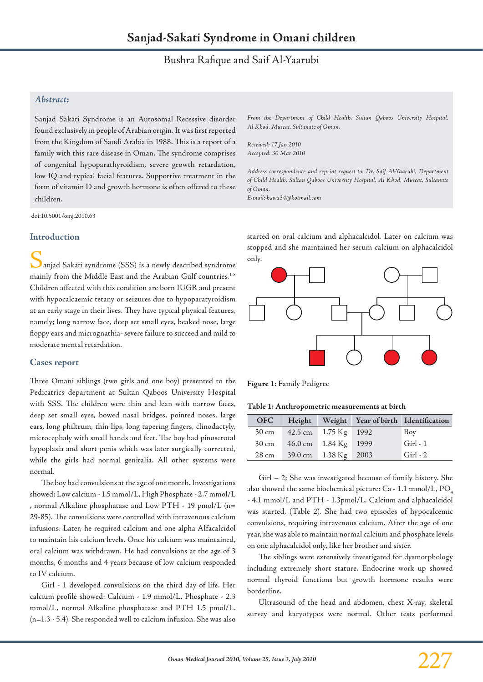# Bushra Rafique and Saif Al-Yaarubi

#### *Abstract:*

Sanjad Sakati Syndrome is an Autosomal Recessive disorder found exclusively in people of Arabian origin. It was first reported from the Kingdom of Saudi Arabia in 1988. This is a report of a family with this rare disease in Oman. The syndrome comprises of congenital hypoparathyroidism, severe growth retardation, low IQ and typical facial features. Supportive treatment in the form of vitamin D and growth hormone is often offered to these children.

doi:10.5001/omj.2010.63

#### **Introduction**

anjad Sakati syndrome (SSS) is a newly described syndrome mainly from the Middle East and the Arabian Gulf countries.<sup>1-8</sup> Children affected with this condition are born IUGR and present with hypocalcaemic tetany or seizures due to hypoparatyroidism at an early stage in their lives. They have typical physical features, namely; long narrow face, deep set small eyes, beaked nose, large floppy ears and micrognathia- severe failure to succeed and mild to moderate mental retardation.

#### **Cases report**

Three Omani siblings (two girls and one boy) presented to the Pedicatrics department at Sultan Qaboos University Hospital with SSS. The children were thin and lean with narrow faces, deep set small eyes, bowed nasal bridges, pointed noses, large ears, long philtrum, thin lips, long tapering fingers, clinodactyly, microcephaly with small hands and feet. The boy had pinoscrotal hypoplasia and short penis which was later surgically corrected, while the girls had normal genitalia. All other systems were normal.

The boy had convulsions at the age of one month. Investigations showed: Low calcium - 1.5 mmol/L, High Phosphate - 2.7 mmol/L , normal Alkaline phosphatase and Low PTH - 19 pmol/L (n= 29-85). The convulsions were controlled with intravenous calcium infusions. Later, he required calcium and one alpha Alfacalcidol to maintain his calcium levels. Once his calcium was maintained, oral calcium was withdrawn. He had convulsions at the age of 3 months, 6 months and 4 years because of low calcium responded to IV calcium.

Girl - 1 developed convulsions on the third day of life. Her calcium profile showed: Calcium - 1.9 mmol/L, Phosphate - 2.3 mmol/L, normal Alkaline phosphatase and PTH 1.5 pmol/L. (n=1.3 - 5.4). She responded well to calcium infusion. She was also *From the Department of Child Health, Sultan Qaboos University Hospital, Al Khod, Muscat, Sultanate of Oman.*

*Received: 17 Jan 2010 Accepted: 30 Mar 2010*

*Address correspondence and reprint request to: Dr. Saif Al-Yaarubi, Department of Child Health, Sultan Qaboos University Hospital, Al Khod, Muscat, Sultanate of Oman.*

*E-mail: hawa34@hotmail.com*

started on oral calcium and alphacalcidol. Later on calcium was stopped and she maintained her serum calcium on alphacalcidol only.



**Figure 1:** Family Pedigree

**Table 1: Anthropometric measurements at birth**

| <b>OFC</b> | Height            |                        | Weight Year of birth Identification |            |
|------------|-------------------|------------------------|-------------------------------------|------------|
| 30 cm      | 42.5 cm           | 1.75 Kg 1992           |                                     | Boy        |
| 30 cm      | $46.0 \text{ cm}$ | $1.84 \text{ Kg}$ 1999 |                                     | Girl - $1$ |
| 28 cm      | 39.0 cm           | 1.38 Kg 2003           |                                     | $Girl-2$   |

Girl – 2; She was investigated because of family history. She also showed the same biochemical picture: Ca - 1.1 mmol/L,  $PO<sub>4</sub>$ - 4.1 mmol/L and PTH - 1.3pmol/L. Calcium and alphacalcidol was started, (Table 2). She had two episodes of hypocalcemic convulsions, requiring intravenous calcium. After the age of one year, she was able to maintain normal calcium and phosphate levels on one alphacalcidol only, like her brother and sister.

The siblings were extensively investigated for dysmorphology including extremely short stature. Endocrine work up showed normal thyroid functions but growth hormone results were borderline.

Ultrasound of the head and abdomen, chest X-ray, skeletal survey and karyotypes were normal. Other tests performed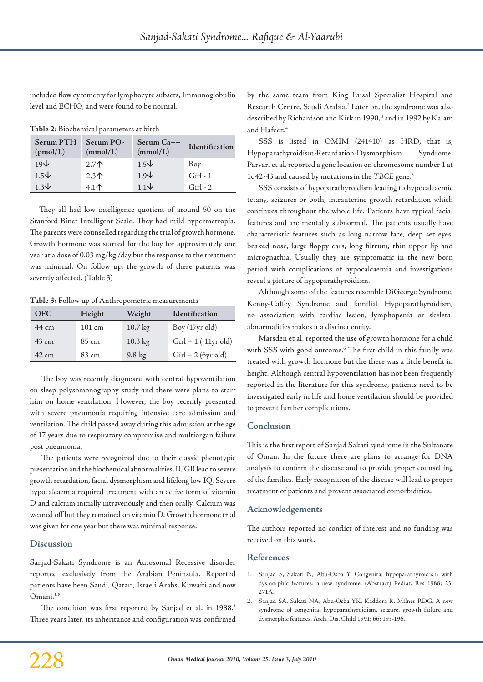included flow cytometry for lymphocyte subsets, Immunoglobulin level and ECHO, and were found to be normal.

| Serum PTH<br>(pmol/L) | Serum PO-<br>(mmol/L) | $Serum Ca++$<br>(mmol/L) | <b>Identification</b> |
|-----------------------|-----------------------|--------------------------|-----------------------|
| 19V                   | $2.7^$                | $1.5\sqrt{ }$            | Boy                   |
| $1.5\sqrt{ }$         | $2.3+$                | 1.9V                     | $Girl - 1$            |
| $1.3\text{V}$         | $4.1^$                | $1.1\sqrt{ }$            | $Girl - 2$            |

**Table 2:** Biochemical parameters at birth

They all had low intelligence quotient of around 50 on the Stanford Binet Intelligent Scale. They had mild hypermetropia. The parents were counselled regarding the trial of growth hormone. Growth hormone was started for the boy for approximately one year at a dose of 0.03 mg/kg /day but the response to the treatment was minimal. On follow up, the growth of these patients was severely affected. (Table 3)

**Table 3:** Follow up of Anthropometric measurements

| <b>OFC</b> | Height           | Weight              | Identification        |
|------------|------------------|---------------------|-----------------------|
| 44 cm      | $101 \text{ cm}$ | $10.7\,\mathrm{kg}$ | Boy (17yr old)        |
| 43 cm      | 85 cm            | 10.3 kg             | $Girl - 1 (11yr old)$ |
| 42 cm      | 83 cm            | $9.8 \text{ kg}$    | $Girl - 2 (6yr old)$  |

The boy was recently diagnosed with central hypoventilation on sleep polysomonography study and there were plans to start him on home ventilation. However, the boy recently presented with severe pneumonia requiring intensive care admission and ventilation. The child passed away during this admission at the age of 17 years due to respiratory compromise and multiorgan failure post pneumonia.

The patients were recognized due to their classic phenotypic presentation and the biochemical abnormalities. IUGR lead to severe growth retardation, facial dysmorphism and lifelong low IQ. Severe hypocalcaemia required treatment with an active form of vitamin D and calcium initially intravenously and then orally. Calcium was weaned off but they remained on vitamin D. Growth hormone trial was given for one year but there was minimal response.

### **Discussion**

Sanjad-Sakati Syndrome is an Autosomal Recessive disorder reported exclusively from the Arabian Peninsula. Reported patients have been Saudi, Qatari, Israeli Arabs, Kuwaiti and now  $O$ mani. $1-8$ 

The condition was first reported by Sanjad et al. in 1988.<sup>1</sup> Three years later, its inheritance and configuration was confirmed by the same team from King Faisal Specialist Hospital and Research Centre, Saudi Arabia.<sup>2</sup> Later on, the syndrome was also described by Richardson and Kirk in 1990,<sup>3</sup> and in 1992 by Kalam and Hafeez.4

SSS is listed in OMIM (241410) as HRD, that is, Hypoparathyroidism-Retardation-Dysmorphism Syndrome. Parvari et al. reported a gene location on chromosome number 1 at 1q42-43 and caused by mutationsin the *TBCE* gene.5

SSS consists of hypoparathyroidism leading to hypocalcaemic tetany, seizures or both, intrauterine growth retardation which continues throughout the whole life. Patients have typical facial features and are mentally subnormal. The patients usually have characteristic features such as long narrow face, deep set eyes, beaked nose, large floppy ears, long filtrum, thin upper lip and micrognathia. Usually they are symptomatic in the new born period with complications of hypocalcaemia and investigations reveal a picture of hypoparathyroidism.

Although some of the features resemble DiGeorge Syndrome, Kenny-Caffey Syndrome and familial Hypoparathyroidism, no association with cardiac lesion, lymphopenia or skeletal abnormalities makes it a distinct entity.

Marsden et al. reported the use of growth hormone for a child with SSS with good outcome.<sup>6</sup> The first child in this family was treated with growth hormone but the there was a little benefit in height. Although central hypoventilation has not been frequently reported in the literature for this syndrome, patients need to be investigated early in life and home ventilation should be provided to prevent further complications.

### **Conclusion**

This is the first report of Sanjad Sakati syndrome in the Sultanate of Oman. In the future there are plans to arrange for DNA analysis to confirm the disease and to provide proper counselling of the families. Early recognition of the disease will lead to proper treatment of patients and prevent associated comorbidities.

## **Acknowledgements**

The authors reported no conflict of interest and no funding was received on this work.

### **References**

- 1. Sanjad S, Sakati N, Abu-Osba Y. Congenital hypoparathyroidism with dysmorphic features: a new syndrome. (Abstract) Pediat. Res 1988; 23: 271A.
- 2. Sanjad SA, Sakati NA, Abu-Osba YK, Kaddora R, Milner RDG. A new syndrome of congenital hypoparathyroidism, seizure, growth failure and dysmorphic features. Arch. Dis. Child 1991; 66: 193-196.